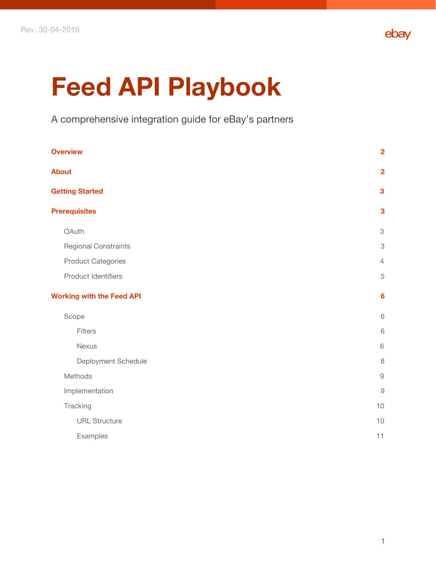

# **Feed API Playbook**

A comprehensive integration guide for eBay's partners

| <b>Overview</b>                  | $\overline{2}$            |
|----------------------------------|---------------------------|
| <b>About</b>                     | $\overline{2}$            |
| <b>Getting Started</b>           | 3                         |
| <b>Prerequisites</b>             | $\mathbf{3}$              |
| OAuth                            | $\ensuremath{\mathsf{3}}$ |
| Regional Constraints             | $\ensuremath{\mathsf{3}}$ |
| <b>Product Categories</b>        | $\overline{4}$            |
| <b>Product Identifiers</b>       | $\mathbf 5$               |
| <b>Working with the Feed API</b> | $6\phantom{1}6$           |
| Scope                            | $\,$ 6 $\,$               |
| Filters                          | 6                         |
| <b>Nexus</b>                     | $\,$ 6 $\,$               |
| Deployment Schedule              | 8                         |
| Methods                          | $\hbox{9}$                |
| Implementation                   | $\overline{9}$            |
| Tracking                         | 10                        |
| <b>URL Structure</b>             | 10                        |
| Examples                         | 11                        |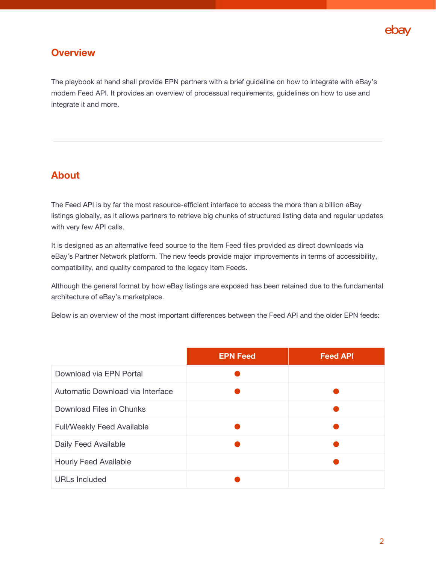

## **Overview**

The playbook at hand shall provide EPN partners with a brief guideline on how to integrate with eBay's modern Feed API. It provides an overview of processual requirements, guidelines on how to use and integrate it and more.

## **About**

The Feed API is by far the most resource-efficient interface to access the more than a billion eBay listings globally, as it allows partners to retrieve big chunks of structured listing data and regular updates with very few API calls.

It is designed as an alternative feed source to the Item Feed files provided as direct downloads via eBay's Partner Network platform. The new feeds provide major improvements in terms of accessibility, compatibility, and quality compared to the legacy Item Feeds.

Although the general format by how eBay listings are exposed has been retained due to the fundamental architecture of eBay's marketplace.

Below is an overview of the most important differences between the Feed API and the older EPN feeds:

<span id="page-1-0"></span>

|                                   | <b>EPN Feed</b> | <b>Feed API</b> |
|-----------------------------------|-----------------|-----------------|
| Download via EPN Portal           |                 |                 |
| Automatic Download via Interface  |                 |                 |
| Download Files in Chunks          |                 |                 |
| <b>Full/Weekly Feed Available</b> |                 |                 |
| Daily Feed Available              |                 |                 |
| <b>Hourly Feed Available</b>      |                 |                 |
| <b>URLs Included</b>              |                 |                 |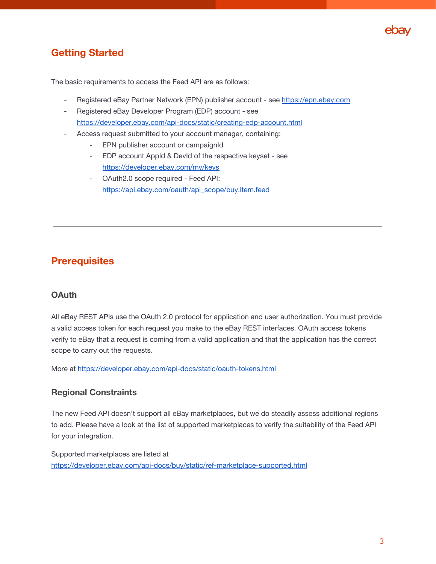

# **Getting Started**

The basic requirements to access the Feed API are as follows:

- Registered eBay Partner Network (EPN) publisher account see [https://epn.ebay.com](https://epn.ebay.com/)
- Registered eBay Developer Program (EDP) account see <https://developer.ebay.com/api-docs/static/creating-edp-account.html>
- Access request submitted to your account manager, containing:
	- EPN publisher account or campaignId
	- EDP account AppId & DevId of the respective keyset see <https://developer.ebay.com/my/keys>
	- OAuth2.0 scope required Feed API: [https://api.ebay.com/oauth/api\\_scope/buy.item.feed](https://api.ebay.com/oauth/api_scope/buy.item.feed)

# **Prerequisites**

## **OAuth**

All eBay REST APIs use the OAuth 2.0 protocol for application and user authorization. You must provide a valid access token for each request you make to the eBay REST interfaces. OAuth access tokens verify to eBay that a request is coming from a valid application and that the application has the correct scope to carry out the requests.

<span id="page-2-0"></span>More at <https://developer.ebay.com/api-docs/static/oauth-tokens.html>

## **Regional Constraints**

The new Feed API doesn't support all eBay marketplaces, but we do steadily assess additional regions to add. Please have a look at the list of supported marketplaces to verify the suitability of the Feed API for your integration.

Supported marketplaces are listed at <https://developer.ebay.com/api-docs/buy/static/ref-marketplace-supported.html>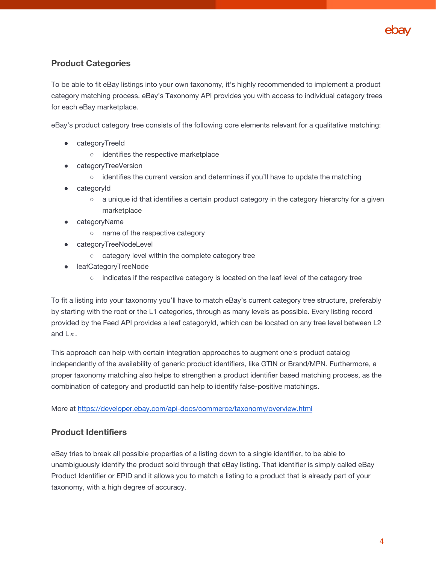

## **Product Categories**

To be able to fit eBay listings into your own taxonomy, it's highly recommended to implement a product category matching process. eBay's Taxonomy API provides you with access to individual category trees for each eBay marketplace.

eBay's product category tree consists of the following core elements relevant for a qualitative matching:

- categoryTreeId
	- identifies the respective marketplace
- categoryTreeVersion
	- identifies the current version and determines if you'll have to update the matching
- categoryId
	- a unique id that identifies a certain product category in the category hierarchy for a given marketplace
- categoryName
	- name of the respective category
- categoryTreeNodeLevel
	- category level within the complete category tree
- leafCategoryTreeNode
	- indicates if the respective category is located on the leaf level of the category tree

To fit a listing into your taxonomy you'll have to match eBay's current category tree structure, preferably by starting with the root or the L1 categories, through as many levels as possible. Every listing record provided by the Feed API provides a leaf categoryId, which can be located on any tree level between L2 and  $Ln$ .

This approach can help with certain integration approaches to augment one's product catalog independently of the availability of generic product identifiers, like GTIN or Brand/MPN. Furthermore, a proper taxonomy matching also helps to strengthen a product identifier based matching process, as the combination of category and productId can help to identify false-positive matchings.

More at <https://developer.ebay.com/api-docs/commerce/taxonomy/overview.html>

#### **Product Identifiers**

eBay tries to break all possible properties of a listing down to a single identifier, to be able to unambiguously identify the product sold through that eBay listing. That identifier is simply called eBay Product Identifier or EPID and it allows you to match a listing to a product that is already part of your taxonomy, with a high degree of accuracy.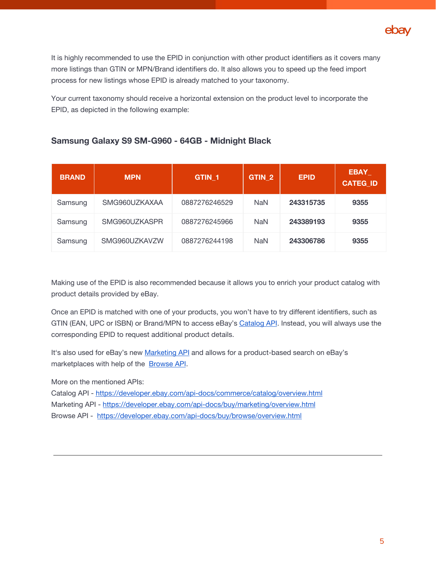

It is highly recommended to use the EPID in conjunction with other product identifiers as it covers many more listings than GTIN or MPN/Brand identifiers do. It also allows you to speed up the feed import process for new listings whose EPID is already matched to your taxonomy.

Your current taxonomy should receive a horizontal extension on the product level to incorporate the EPID, as depicted in the following example:

## **Samsung Galaxy S9 SM-G960 - 64GB - Midnight Black**

| <b>BRAND</b> | <b>MPN</b>    | GTIN <sub>1</sub> | GTIN <sub>2</sub> | <b>EPID</b> | <b>EBAY</b><br><b>CATEG ID</b> |
|--------------|---------------|-------------------|-------------------|-------------|--------------------------------|
| Samsung      | SMG960UZKAXAA | 0887276246529     | <b>NaN</b>        | 243315735   | 9355                           |
| Samsung      | SMG960UZKASPR | 0887276245966     | <b>NaN</b>        | 243389193   | 9355                           |
| Samsung      | SMG960UZKAVZW | 0887276244198     | <b>NaN</b>        | 243306786   | 9355                           |

Making use of the EPID is also recommended because it allows you to enrich your product catalog with product details provided by eBay.

Once an EPID is matched with one of your products, you won't have to try different identifiers, such as GTIN (EAN, UPC or ISBN) or Brand/MPN to access eBay's [Catalog](https://developer.ebay.com/api-docs/commerce/catalog/overview.html) API. Instead, you will always use the corresponding EPID to request additional product details.

It's also used for eBay's new [Marketing](https://developer.ebay.com/api-docs/buy/marketing/resources/methods) API and allows for a product-based search on eBay's marketplaces with help of the [Browse](https://developer.ebay.com/api-docs/buy/browse/overview.html) API.

More on the mentioned APIs:

Catalog API - <https://developer.ebay.com/api-docs/commerce/catalog/overview.html>

Marketing API - <https://developer.ebay.com/api-docs/buy/marketing/overview.html>

Browse API - <https://developer.ebay.com/api-docs/buy/browse/overview.html>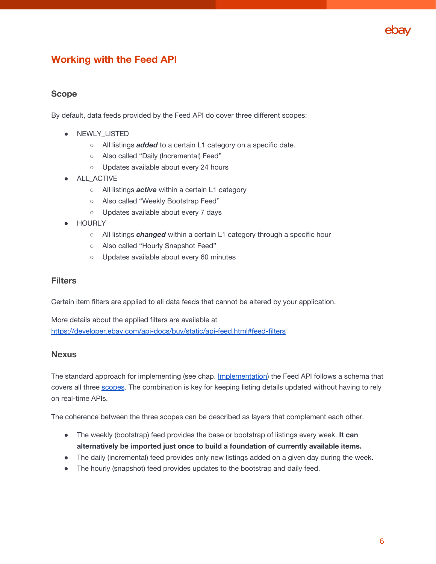

# **Working with the Feed API**

#### **Scope**

By default, data feeds provided by the Feed API do cover three different scopes:

- NEWLY\_LISTED
	- All listings *added* to a certain L1 category on a specific date.
	- Also called "Daily (Incremental) Feed"
	- Updates available about every 24 hours
- **•** ALL\_ACTIVE
	- All listings *active* within a certain L1 category
	- Also called "Weekly Bootstrap Feed"
	- Updates available about every 7 days
- HOURLY
	- All listings *changed* within a certain L1 category through a specific hour
	- Also called "Hourly Snapshot Feed"
	- o Updates available about every 60 minutes

#### **Filters**

Certain item filters are applied to all data feeds that cannot be altered by your application.

More details about the applied filters are available at <https://developer.ebay.com/api-docs/buy/static/api-feed.html#feed-filters>

#### **Nexus**

The standard approach for implementing (see chap. Implementation) the Feed API follows a schema that covers all three scopes. The combination is key for keeping listing details updated without having to rely on real-time APIs.

The coherence between the three scopes can be described as layers that complement each other.

- The weekly (bootstrap) feed provides the base or bootstrap of listings every week. **It can alternatively be imported just once to build a foundation of currently available items.**
- The daily (incremental) feed provides only new listings added on a given day during the week.
- The hourly (snapshot) feed provides updates to the bootstrap and daily feed.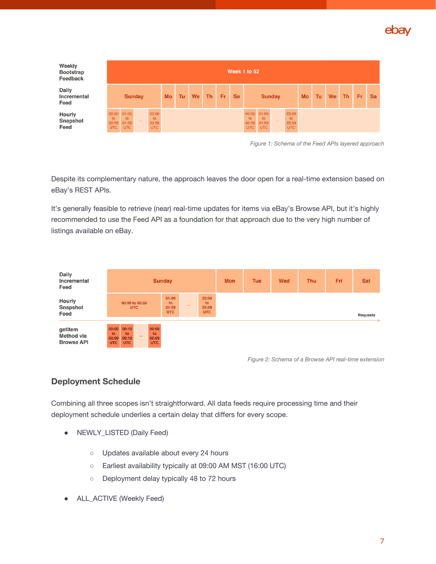

| Weekly<br><b>Bootstrap</b><br>Feedback | Week 1 to 52                       |                             |               |                                     |           |    |           |           |     |           |                                    |                                    |               |                                    |           |    |    |    |           |           |
|----------------------------------------|------------------------------------|-----------------------------|---------------|-------------------------------------|-----------|----|-----------|-----------|-----|-----------|------------------------------------|------------------------------------|---------------|------------------------------------|-----------|----|----|----|-----------|-----------|
| Daily<br>Incremental<br>Feed           |                                    |                             | <b>Sunday</b> |                                     | <b>Mo</b> | Tu | <b>We</b> | <b>Th</b> | Fr. | <b>Sa</b> |                                    |                                    | <b>Sunday</b> |                                    | <b>Mo</b> | Tu | We | Th | <b>Fr</b> | <b>Sa</b> |
| <b>Hourly</b><br>Snapshot<br>Feed      | 00:00<br>to<br>00:59<br><b>UTC</b> | 01:00<br>to<br>01:59<br>UTC | $\sim$        | 23:00<br>to.<br>23:59<br><b>UTC</b> |           |    |           |           |     |           | 00:00<br>to<br>00:59<br><b>UTC</b> | 01:00<br>to<br>01:59<br><b>UTC</b> | 1.11          | 23:00<br>to<br>23:59<br><b>UTC</b> |           |    |    |    |           |           |

*Figure 1: Schema of the Feed APIs layered approach*

Despite its complementary nature, the approach leaves the door open for a real-time extension based on eBay's REST APIs.

It's generally feasible to retrieve (near) real-time updates for items via eBay's Browse API, but it's highly recommended to use the Feed API as a foundation for that approach due to the very high number of listings available on eBay.



*Figure 2: Schema of a Browse API real-time extension*

## **Deployment Schedule**

Combining all three scopes isn't straightforward. All data feeds require processing time and their deployment schedule underlies a certain delay that differs for every scope.

- NEWLY\_LISTED (Daily Feed)
	- Updates available about every 24 hours
	- **○** Earliest availability typically at 09:00 AM MST (16:00 UTC)
	- Deployment delay typically 48 to 72 hours
- **●** ALL\_ACTIVE (Weekly Feed)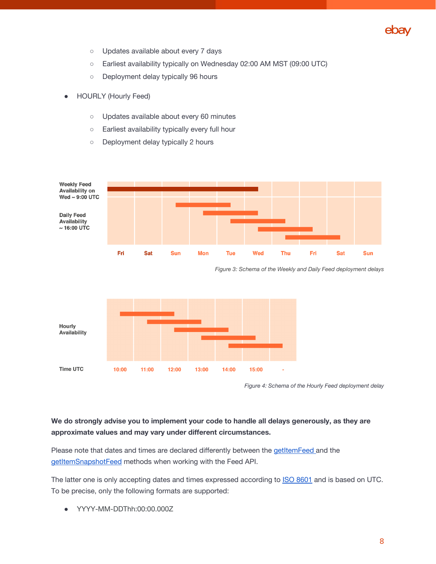

- Updates available about every 7 days
- Earliest availability typically on Wednesday 02:00 AM MST (09:00 UTC)
- Deployment delay typically 96 hours
- **HOURLY (Hourly Feed)** 
	- Updates available about every 60 minutes
	- Earliest availability typically every full hour
	- Deployment delay typically 2 hours



*Figure 3: Schema of the Weekly and Daily Feed deployment delays*



*Figure 4: Schema of the Hourly Feed deployment delay*

#### **We do strongly advise you to implement your code to handle all delays generously, as they are approximate values and may vary under different circumstances.**

Please note that dates and times are declared differently between the [getItemFeed](https://developer.ebay.com/api-docs/buy/feed/resources/item/methods/getItemFeed#uri.date) and the [getItemSnapshotFeed](https://developer.ebay.com/api-docs/buy/feed/resources/item_snapshot/methods/getItemSnapshotFeed#uri.snapshot_date) methods when working with the Feed API.

The latter one is only accepting dates and times expressed according to **ISO [8601](https://www.w3.org/TR/NOTE-datetime)** and is based on UTC. To be precise, only the following formats are supported:

● YYYY-MM-DDThh:00:00.000Z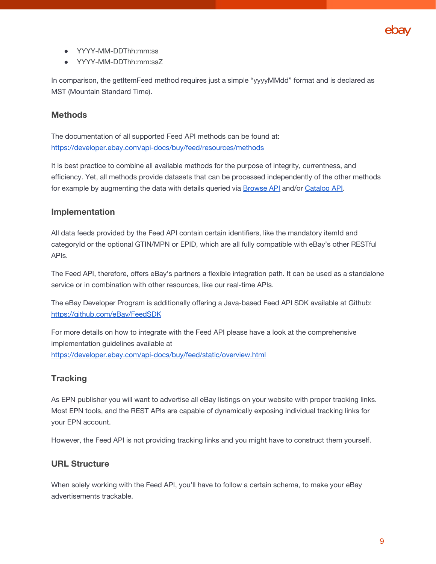

- YYYY-MM-DDThh:mm:ss
- YYYY-MM-DDThh:mm:ssZ

In comparison, the getItemFeed method requires just a simple "yyyyMMdd" format and is declared as MST (Mountain Standard Time).

#### **Methods**

The documentation of all supported Feed API methods can be found at: <https://developer.ebay.com/api-docs/buy/feed/resources/methods>

It is best practice to combine all available methods for the purpose of integrity, currentness, and efficiency. Yet, all methods provide datasets that can be processed independently of the other methods for example by augmenting the data with details queried via **[Browse](https://developer.ebay.com/api-docs/buy/browse/resources/methods) API** and/or [Catalog](https://developer.ebay.com/api-docs/commerce/catalog/overview.html) API.

#### **Implementation**

All data feeds provided by the Feed API contain certain identifiers, like the mandatory itemId and categoryId or the optional GTIN/MPN or EPID, which are all fully compatible with eBay's other RESTful APIs.

The Feed API, therefore, offers eBay's partners a flexible integration path. It can be used as a standalone service or in combination with other resources, like our real-time APIs.

The eBay Developer Program is additionally offering a Java-based Feed API SDK available at Github: <https://github.com/eBay/FeedSDK>

For more details on how to integrate with the Feed API please have a look at the comprehensive implementation guidelines available at <https://developer.ebay.com/api-docs/buy/feed/static/overview.html>

#### **Tracking**

As EPN publisher you will want to advertise all eBay listings on your website with proper tracking links. Most EPN tools, and the REST APIs are capable of dynamically exposing individual tracking links for your EPN account.

However, the Feed API is not providing tracking links and you might have to construct them yourself.

#### **URL Structure**

When solely working with the Feed API, you'll have to follow a certain schema, to make your eBay advertisements trackable.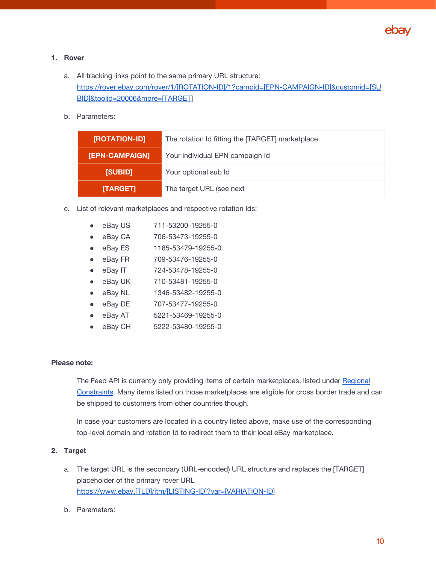

#### **1. Rover**

- a. All tracking links point to the same primary URL structure: [https://rover.ebay.com/rover/1/\[ROTATION-ID\]/1?campid=\[EPN-CAMPAIGN-ID\]&customid=\[SU](https://rover.ebay.com/rover/1/[ROVER-ID]/1?campid=[EPN-CAMPAIGN-ID]&customid=[SUBID]&toolid=10050&mpre=[TARGET) [BID\]&toolid=20006&mpre=\[TARGET](https://rover.ebay.com/rover/1/[ROVER-ID]/1?campid=[EPN-CAMPAIGN-ID]&customid=[SUBID]&toolid=10050&mpre=[TARGET)]
- b. Parameters:

| [ROTATION-ID]  | The rotation Id fitting the [TARGET] marketplace |
|----------------|--------------------------------------------------|
| [EPN-CAMPAIGN] | Your individual EPN campaign Id                  |
| [SUBID]        | Your optional sub Id                             |
| [TARGET]       | The target URL (see next                         |

- c. List of relevant marketplaces and respective rotation Ids:
	- eBay US 711-53200-19255-0 ● eBay CA 706-53473-19255-0 ● eBay ES 1185-53479-19255-0 ● eBay FR 709-53476-19255-0 ● eBay IT 724-53478-19255-0 ● eBay UK 710-53481-19255-0 ● eBay NL 1346-53482-19255-0 ● eBay DE 707-53477-19255-0 eBay AT 5221-53469-19255-0
	- eBay CH 5222-53480-19255-0

#### **Please note:**

The Feed API is currently only providing items of certain marketplaces, listed under [Regional](https://developer.ebay.com/api-docs/buy/static/ref-marketplace-supported.html) [Constraints](https://developer.ebay.com/api-docs/buy/static/ref-marketplace-supported.html). Many items listed on those marketplaces are eligible for cross border trade and can be shipped to customers from other countries though.

In case your customers are located in a country listed above, make use of the corresponding top-level domain and rotation Id to redirect them to their local eBay marketplace.

#### **2. Target**

- a. The target URL is the secondary (URL-encoded) URL structure and replaces the [TARGET] placeholder of the primary rover URL [https://www.ebay.\[TLD\]/itm/\[LISTING-ID\]?var=\[VARIATION-ID\]](https://www.ebay.de/itm/[ITEM-ID]?var=[VARIATION-ID)
- b. Parameters: